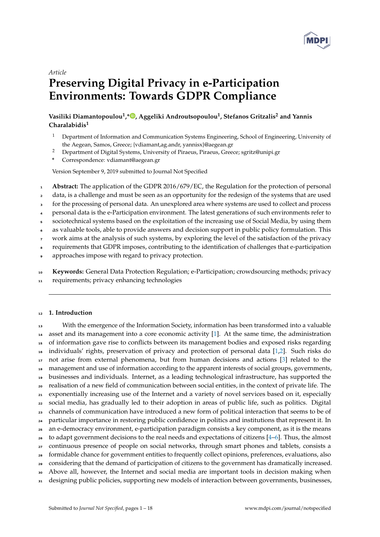

# *Article*

# **Preserving Digital Privacy in e-Participation Environments: Towards GDPR Compliance**

# **Vasiliki Diamantopoulou<sup>1</sup> ,[\\*](https://orcid.org/0000-0000-000-000X) , Aggeliki Androutsopoulou<sup>1</sup> , Stefanos Gritzalis<sup>2</sup> and Yannis Charalabidis<sup>1</sup>**

- <sup>1</sup> Department of Information and Communication Systems Engineering, School of Engineering, University of the Aegean, Samos, Greece; {vdiamant,ag.andr, yannisx}@aegean.gr
- <sup>2</sup> Department of Digital Systems, University of Piraeus, Piraeus, Greece; sgritz@unipi.gr
- **\*** Correspondence: vdiamant@aegean.gr

Version September 9, 2019 submitted to Journal Not Specified

- <sup>1</sup> **Abstract:** The application of the GDPR 2016/679/EC, the Regulation for the protection of personal
- 2 data, is a challenge and must be seen as an opportunity for the redesign of the systems that are used
- <sup>3</sup> for the processing of personal data. An unexplored area where systems are used to collect and process
- <sup>4</sup> personal data is the e-Participation environment. The latest generations of such environments refer to
- sociotechnical systems based on the exploitation of the increasing use of Social Media, by using them
- as valuable tools, able to provide answers and decision support in public policy formulation. This
- work aims at the analysis of such systems, by exploring the level of the satisfaction of the privacy
- <sup>8</sup> requirements that GDPR imposes, contributing to the identification of challenges that e-participation
- <sup>9</sup> approaches impose with regard to privacy protection.
- <sup>10</sup> **Keywords:** General Data Protection Regulation; e-Participation; crowdsourcing methods; privacy
- <sup>11</sup> requirements; privacy enhancing technologies

# <sup>12</sup> **1. Introduction**

13 With the emergence of the Information Society, information has been transformed into a valuable asset and its management into a core economic activity [\[1\]](#page-14-0). At the same time, the administration of information gave rise to conflicts between its management bodies and exposed risks regarding individuals' rights, preservation of privacy and protection of personal data [\[1](#page-14-0)[,2\]](#page-14-1). Such risks do 17 not arise from external phenomena, but from human decisions and actions [\[3\]](#page-14-2) related to the management and use of information according to the apparent interests of social groups, governments, businesses and individuals. Internet, as a leading technological infrastructure, has supported the realisation of a new field of communication between social entities, in the context of private life. The exponentially increasing use of the Internet and a variety of novel services based on it, especially social media, has gradually led to their adoption in areas of public life, such as politics. Digital channels of communication have introduced a new form of political interaction that seems to be of particular importance in restoring public confidence in politics and institutions that represent it. In an e-democracy environment, e-participation paradigm consists a key component, as it is the means to adapt government decisions to the real needs and expectations of citizens  $[4-6]$  $[4-6]$ . Thus, the almost <sub>27</sub> continuous presence of people on social networks, through smart phones and tablets, consists a formidable chance for government entities to frequently collect opinions, preferences, evaluations, also considering that the demand of participation of citizens to the government has dramatically increased. Above all, however, the Internet and social media are important tools in decision making when 31 designing public policies, supporting new models of interaction between governments, businesses,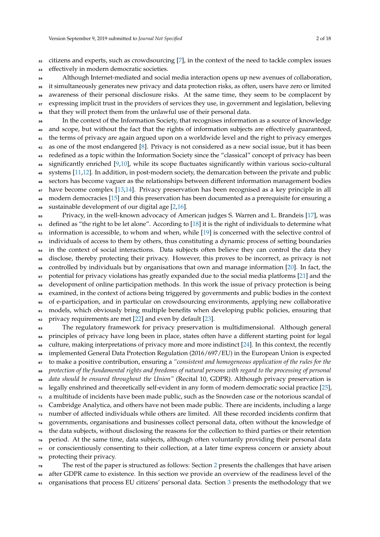<sup>32</sup> citizens and experts, such as crowdsourcing [\[7\]](#page-14-5), in the context of the need to tackle complex issues <sup>33</sup> effectively in modern democratic societies.

 Although Internet-mediated and social media interaction opens up new avenues of collaboration, it simultaneously generates new privacy and data protection risks, as often, users have zero or limited awareness of their personal disclosure risks. At the same time, they seem to be complacent by <sup>37</sup> expressing implicit trust in the providers of services they use, in government and legislation, believing that they will protect them from the unlawful use of their personal data.

In the context of the Information Society, that recognises information as a source of knowledge <sup>40</sup> and scope, but without the fact that the rights of information subjects are effectively guaranteed, <sup>41</sup> the terms of privacy are again argued upon on a worldwide level and the right to privacy emerges <sup>42</sup> as one of the most endangered [\[8\]](#page-15-0). Privacy is not considered as a new social issue, but it has been <sup>43</sup> redefined as a topic within the Information Society since the "classical" concept of privacy has been significantly enriched [\[9,](#page-15-1)[10\]](#page-15-2), while its scope fluctuates significantly within various socio-cultural <sup>45</sup> systems [\[11](#page-15-3)[,12\]](#page-15-4). In addition, in post-modern society, the demarcation between the private and public <sup>46</sup> sectors has become vaguer as the relationships between different information management bodies <sup>47</sup> have become complex [\[13,](#page-15-5)[14\]](#page-15-6). Privacy preservation has been recognised as a key principle in all 48 modern democracies [\[15\]](#page-15-7) and this preservation has been documented as a prerequisite for ensuring a <sup>49</sup> sustainable development of our digital age [\[2,](#page-14-1)[16\]](#page-15-8). <sup>50</sup> Privacy, in the well-known advocacy of American judges S. Warren and L. Brandeis [\[17\]](#page-15-9), was 51 defined as "the right to be let alone". According to [\[18\]](#page-15-10) it is the right of individuals to determine what  $52$  information is accessible, to whom and when, while  $[19]$  is concerned with the selective control of <sub>53</sub> individuals of access to them by others, thus constituting a dynamic process of setting boundaries <sup>54</sup> in the context of social interactions. Data subjects often believe they can control the data they disclose, thereby protecting their privacy. However, this proves to be incorrect, as privacy is not <sup>56</sup> controlled by individuals but by organisations that own and manage information [\[20\]](#page-15-12). In fact, the  $57$  potential for privacy violations has greatly expanded due to the social media platforms [\[21\]](#page-15-13) and the <sup>58</sup> development of online participation methods. In this work the issue of privacy protection is being <sup>59</sup> examined, in the context of actions being triggered by governments and public bodies in the context of e-participation, and in particular on crowdsourcing environments, applying new collaborative <sup>61</sup> models, which obviously bring multiple benefits when developing public policies, ensuring that  $\epsilon$ <sup>2</sup> privacy requirements are met [\[22\]](#page-15-14) and even by default [\[23\]](#page-15-15). <sup>63</sup> The regulatory framework for privacy preservation is multidimensional. Although general

 principles of privacy have long been in place, states often have a different starting point for legal <sup>65</sup> culture, making interpretations of privacy more and more indistinct [\[24\]](#page-15-16). In this context, the recently implemented General Data Protection Regulation (2016/697/EU) in the European Union is expected to make a positive contribution, ensuring a *"consistent and homogeneous application of the rules for the protection of the fundamental rights and freedoms of natural persons with regard to the processing of personal data should be ensured throughout the Union"* (Recital 10, GDPR). Although privacy preservation is legally enshrined and theoretically self-evident in any form of modern democratic social practice [\[25\]](#page-15-17), a multitude of incidents have been made public, such as the Snowden case or the notorious scandal of <sup>72</sup> Cambridge Analytica, and others have not been made public. There are incidents, including a large number of affected individuals while others are limited. All these recorded incidents confirm that governments, organisations and businesses collect personal data, often without the knowledge of the data subjects, without disclosing the reasons for the collection to third parties or their retention period. At the same time, data subjects, although often voluntarily providing their personal data or conscientiously consenting to their collection, at a later time express concern or anxiety about protecting their privacy. The rest of the paper is structured as follows: Section [2](#page-2-0) presents the challenges that have arisen

<sup>80</sup> after GDPR came to existence. In this section we provide an overview of the readiness level of the 81 organisations that process EU citizens' personal data. Section [3](#page-3-0) presents the methodology that we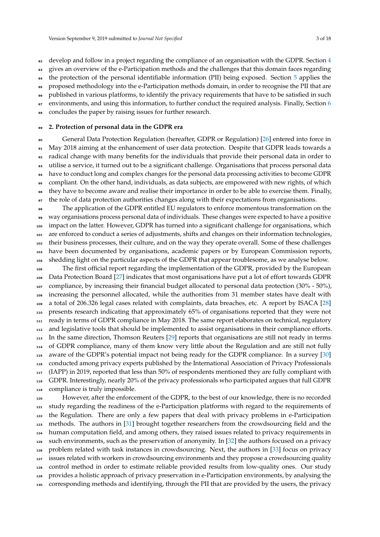82 develop and follow in a project regarding the compliance of an organisation with the GDPR. Section [4](#page-6-0) gives an overview of the e-Participation methods and the challenges that this domain faces regarding the protection of the personal identifiable information (PII) being exposed. Section [5](#page-7-0) applies the BE proposed methodology into the e-Participation methods domain, in order to recognise the PII that are <sup>86</sup> published in various platforms, to identify the privacy requirements that have to be satisfied in such 87 environments, and using this information, to further conduct the required analysis. Finally, Section [6](#page-13-0) concludes the paper by raising issues for further research.

#### <span id="page-2-0"></span>**2. Protection of personal data in the GDPR era**

 General Data Protection Regulation (hereafter, GDPR or Regulation) [\[26\]](#page-15-18) entered into force in May 2018 aiming at the enhancement of user data protection. Despite that GDPR leads towards a radical change with many benefits for the individuals that provide their personal data in order to utilise a service, it turned out to be a significant challenge. Organisations that process personal data have to conduct long and complex changes for the personal data processing activities to become GDPR compliant. On the other hand, individuals, as data subjects, are empowered with new rights, of which they have to become aware and realise their importance in order to be able to exercise them. Finally, <sub>97</sub> the role of data protection authorities changes along with their expectations from organisations. The application of the GDPR entitled EU regulators to enforce momentous transformation on the way organisations process personal data of individuals. These changes were expected to have a positive 100 impact on the latter. However, GDPR has turned into a significant challenge for organisations, which

 are enforced to conduct a series of adjustments, shifts and changes on their information technologies, their business processes, their culture, and on the way they operate overall. Some of these challenges have been documented by organisations, academic papers or by European Commission reports, shedding light on the particular aspects of the GDPR that appear troublesome, as we analyse below.

 The first official report regarding the implementation of the GDPR, provided by the European Data Protection Board [\[27\]](#page-15-19) indicates that most organisations have put a lot of effort towards GDPR compliance, by increasing their financial budget allocated to personal data protection (30% - 50%), increasing the personnel allocated, while the authorities from 31 member states have dealt with a total of 206.326 legal cases related with complaints, data breaches, etc. A report by ISACA [\[28\]](#page-15-20) presents research indicating that approximately 65% of organisations reported that they were not ready in terms of GDPR compliance in May 2018. The same report elaborates on technical, regulatory 112 and legislative tools that should be implemented to assist organisations in their compliance efforts. In the same direction, Thomson Reuters [\[29\]](#page-15-21) reports that organisations are still not ready in terms of GDPR compliance, many of them know very little about the Regulation and are still not fully aware of the GDPR's potential impact not being ready for the GDPR compliance. In a survey [\[30\]](#page-15-22) conducted among privacy experts published by the International Association of Privacy Professionals (IAPP) in 2019, reported that less than 50% of respondents mentioned they are fully compliant with GDPR. Interestingly, nearly 20% of the privacy professionals who participated argues that full GDPR compliance is truly impossible.

 However, after the enforcement of the GDPR, to the best of our knowledge, there is no recorded study regarding the readiness of the e-Participation platforms with regard to the requirements of the Regulation. There are only a few papers that deal with privacy problems in e-Participation methods. The authors in [\[31\]](#page-15-23) brought together researchers from the crowdsourcing field and the human computation field, and among others, they raised issues related to privacy requirements in such environments, such as the preservation of anonymity. In [\[32\]](#page-15-24) the authors focused on a privacy 126 problem related with task instances in crowdsourcing. Next, the authors in [\[33\]](#page-15-25) focus on privacy issues related with workers in crowdsourcing environments and they propose a crowdsourcing quality control method in order to estimate reliable provided results from low-quality ones. Our study provides a holistic approach of privacy preservation in e-Participation environments, by analysing the corresponding methods and identifying, through the PII that are provided by the users, the privacy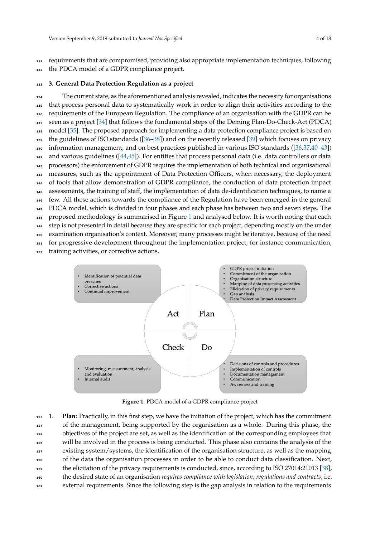requirements that are compromised, providing also appropriate implementation techniques, following 132 the PDCA model of a GDPR compliance project.

### <span id="page-3-0"></span>**3. General Data Protection Regulation as a project**

 The current state, as the aforementioned analysis revealed, indicates the necessity for organisations that process personal data to systematically work in order to align their activities according to the requirements of the European Regulation. The compliance of an organisation with the GDPR can be seen as a project [\[34\]](#page-15-26) that follows the fundamental steps of the Deming Plan-Do-Check-Act (PDCA) model [\[35\]](#page-15-27). The proposed approach for implementing a data protection compliance project is based on the guidelines of ISO standards ([\[36–](#page-15-28)[38\]](#page-16-0)) and on the recently released [\[39\]](#page-16-1) which focuses on privacy 140 information management, and on best practices published in various ISO standards ( $[36,37,40-43]$  $[36,37,40-43]$  $[36,37,40-43]$  $[36,37,40-43]$ ) and various guidelines ([\[44](#page-16-4)[,45\]](#page-16-5)). For entities that process personal data (i.e. data controllers or data processors) the enforcement of GDPR requires the implementation of both technical and organisational measures, such as the appointment of Data Protection Officers, when necessary, the deployment of tools that allow demonstration of GDPR compliance, the conduction of data protection impact assessments, the training of staff, the implementation of data de-identification techniques, to name a few. All these actions towards the compliance of the Regulation have been emerged in the general 147 PDCA model, which is divided in four phases and each phase has between two and seven steps. The proposed methodology is summarised in Figure [1](#page-3-1) and analysed below. It is worth noting that each step is not presented in detail because they are specific for each project, depending mostly on the under examination organisation's context. Moreover, many processes might be iterative, because of the need for progressive development throughout the implementation project; for instance communication,

training activities, or corrective actions.

<span id="page-3-1"></span>

**Figure 1.** PDCA model of a GDPR compliance project

 1. **Plan:** Practically, in this first step, we have the initiation of the project, which has the commitment of the management, being supported by the organisation as a whole. During this phase, the objectives of the project are set, as well as the identification of the corresponding employees that will be involved in the process is being conducted. This phase also contains the analysis of the existing system/systems, the identification of the organisation structure, as well as the mapping of the data the organisation processes in order to be able to conduct data classification. Next, the elicitation of the privacy requirements is conducted, since, according to ISO 27014:21013 [\[38\]](#page-16-0), the desired state of an organisation *requires compliance with legislation, regulations and contracts*, i.e. external requirements. Since the following step is the gap analysis in relation to the requirements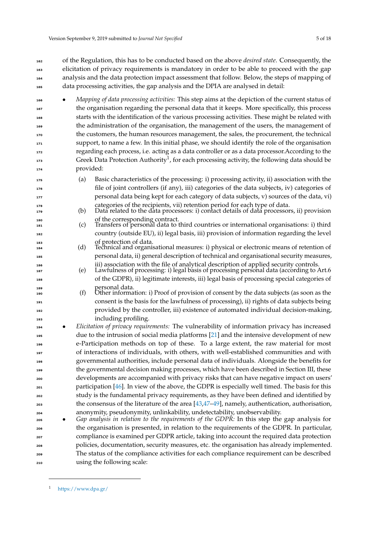of the Regulation, this has to be conducted based on the above *desired state*. Consequently, the elicitation of privacy requirements is mandatory in order to be able to proceed with the gap analysis and the data protection impact assessment that follow. Below, the steps of mapping of data processing activities, the gap analysis and the DPIA are analysed in detail:

- *Mapping of data processing activities:* This step aims at the depiction of the current status of the organisation regarding the personal data that it keeps. More specifically, this process starts with the identification of the various processing activities. These might be related with <sup>169</sup> the administration of the organisation, the management of the users, the management of the customers, the human resources management, the sales, the procurement, the technical support, to name a few. In this initial phase, we should identify the role of the organisation regarding each process, i.e. acting as a data controller or as a data processor.According to the 173 Greek Data Protection Authority<sup>1</sup>, for each processing activity, the following data should be provided:
- (a) Basic characteristics of the processing: i) processing activity, ii) association with the file of joint controllers (if any), iii) categories of the data subjects, iv) categories of personal data being kept for each category of data subjects, v) sources of the data, vi)
- 178 categories of the recipients, vii) retention period for each type of data.<br>(b) Data related to the data processors: i) contact details of data processor (b) Data related to the data processors: i) contact details of data processors, ii) provision of the corresponding contract.<br>
(c) Transfers of personal data to
- (c) Transfers of personal data to third countries or international organisations: i) third country (outside EU), ii) legal basis, iii) provision of information regarding the level 183 of protection of data.<br>184 (d) Technical and organi
- Technical and organisational measures: i) physical or electronic means of retention of personal data, ii) general description of technical and organisational security measures,
- <sup>186</sup> iii) association with the file of analytical description of applied security controls<br><sup>187</sup> iegal basis of processing personal data (according to *1* 187 (e) Lawfulness of processing: i) legal basis of processing personal data (according to Art.6 of the GDPR), ii) legitimate interests, iii) legal basis of processing special categories of **personal** data.
- (f) Other information: i) Proof of provision of consent by the data subjects (as soon as the consent is the basis for the lawfulness of processing), ii) rights of data subjects being provided by the controller, iii) existence of automated individual decision-making, including profiling.
- *Elicitation of privacy requirements:* The vulnerability of information privacy has increased due to the intrusion of social media platforms [\[21\]](#page-15-13) and the intensive development of new e-Participation methods on top of these. To a large extent, the raw material for most of interactions of individuals, with others, with well-established communities and with governmental authorities, include personal data of individuals. Alongside the benefits for the governmental decision making processes, which have been described in Section III, these developments are accompanied with privacy risks that can have negative impact on users' participation [\[46\]](#page-16-6). In view of the above, the GDPR is especially well timed. The basis for this study is the fundamental privacy requirements, as they have been defined and identified by the consensus of the literature of the area [\[43,](#page-16-3)[47](#page-16-7)[–49\]](#page-16-8), namely, authentication, authorisation, anonymity, pseudonymity, unlinkability, undetectability, unobservability.
- *Gap analysis in relation to the requirements of the GDPR:* In this step the gap analysis for the organisation is presented, in relation to the requirements of the GDPR. In particular, compliance is examined per GDPR article, taking into account the required data protection policies, documentation, security measures, etc. the organisation has already implemented. The status of the compliance activities for each compliance requirement can be described using the following scale:

<https://www.dpa.gr/>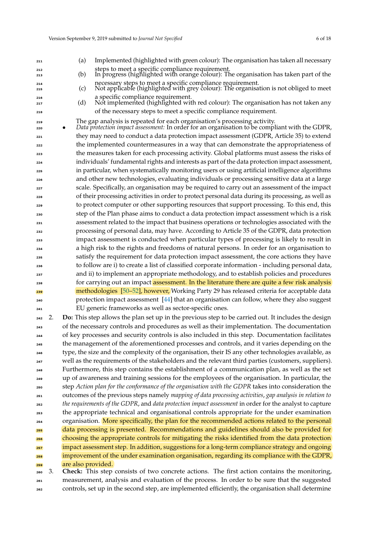- (a) Implemented (highlighted with green colour): The organisation has taken all necessary <sup>212</sup> steps to meet a specific compliance requirement<br>(b) In progress (highlighted with orange colour): T (b) In progress (highlighted with orange colour): The organisation has taken part of the necessary steps to meet a specific compliance requirement. (c) Not applicable (highlighted with grey colour): The organisation is not obliged to meet <sup>216</sup> a specific compliance requirement.<br><sup>217</sup> (d) Not implemented (highlighted wit Not implemented (highlighted with red colour): The organisation has not taken any of the necessary steps to meet a specific compliance requirement. The gap analysis is repeated for each organisation's processing activity. • *Data protection impact assessment:* In order for an organisation to be compliant with the GDPR, they may need to conduct a data protection impact assessment (GDPR, Article 35) to extend <sup>222</sup> the implemented countermeasures in a way that can demonstrate the appropriateness of the measures taken for each processing activity. Global platforms must assess the risks of individuals' fundamental rights and interests as part of the data protection impact assessment, in particular, when systematically monitoring users or using artificial intelligence algorithms and other new technologies, evaluating individuals or processing sensitive data at a large scale. Specifically, an organisation may be required to carry out an assessment of the impact of their processing activities in order to protect personal data during its processing, as well as to protect computer or other supporting resources that support processing. To this end, this step of the Plan phase aims to conduct a data protection impact assessment which is a risk assessment related to the impact that business operations or technologies associated with the processing of personal data, may have. According to Article 35 of the GDPR, data protection impact assessment is conducted when particular types of processing is likely to result in a high risk to the rights and freedoms of natural persons. In order for an organisation to satisfy the requirement for data protection impact assessment, the core actions they have to follow are i) to create a list of classified corporate information - including personal data, and ii) to implement an appropriate methodology, and to establish policies and procedures <sup>238</sup> for carrying out an impact assessment. In the literature there are quite a few risk analysis methodologies [\[50](#page-16-9)[–52\]](#page-16-10), however, Working Party 29 has released criteria for acceptable data protection impact assessment [\[44\]](#page-16-4) that an organisation can follow, where they also suggest EU generic frameworks as well as sector-specific ones.
- 2. **Do:** This step allows the plan set up in the previous step to be carried out. It includes the design of the necessary controls and procedures as well as their implementation. The documentation of key processes and security controls is also included in this step. Documentation facilitates the management of the aforementioned processes and controls, and it varies depending on the type, the size and the complexity of the organisation, their IS any other technologies available, as well as the requirements of the stakeholders and the relevant third parties (customers, suppliers). Furthermore, this step contains the establishment of a communication plan, as well as the set up of awareness and training sessions for the employees of the organisation. In particular, the step *Action plan for the conformance of the organisation with the GDPR* takes into consideration the outcomes of the previous steps namely *mapping of data processing activities*, *gap analysis in relation to the requirements of the GDPR*, and *data protection impact assessment* in order for the analyst to capture the appropriate technical and organisational controls appropriate for the under examination organisation. More specifically, the plan for the recommended actions related to the personal data processing is presented. Recommendations and guidelines should also be provided for choosing the appropriate controls for mitigating the risks identified from the data protection impact assessment step. In addition, suggestions for a long-term compliance strategy and ongoing improvement of the under examination organisation, regarding its compliance with the GDPR, are also provided.

 3. **Check:** This step consists of two concrete actions. The first action contains the monitoring, measurement, analysis and evaluation of the process. In order to be sure that the suggested controls, set up in the second step, are implemented efficiently, the organisation shall determine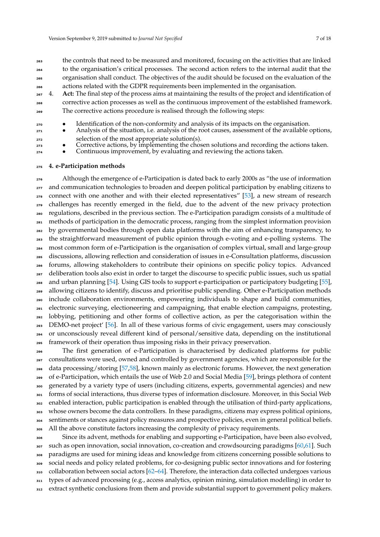the controls that need to be measured and monitored, focusing on the activities that are linked to the organisation's critical processes. The second action refers to the internal audit that the organisation shall conduct. The objectives of the audit should be focused on the evaluation of the actions related with the GDPR requirements been implemented in the organisation.

- <sup>267</sup> 4. **Act:** The final step of the process aims at maintaining the results of the project and identification of corrective action processes as well as the continuous improvement of the established framework. <sup>269</sup> The corrective actions procedure is realised through the following steps:
- <sup>270</sup> Identification of the non-conformity and analysis of its impacts on the organisation.
- Analysis of the situation, i.e. analysis of the root causes, assessment of the available options, selection of the most appropriate solution(s).
- **•** Corrective actions, by implementing the chosen solutions and recording the actions taken.
- <sup>274</sup> Continuous improvement, by evaluating and reviewing the actions taken.

#### <span id="page-6-0"></span><sup>275</sup> **4. e-Participation methods**

 Although the emergence of e-Participation is dated back to early 2000s as "the use of information <sub>277</sub> and communication technologies to broaden and deepen political participation by enabling citizens to connect with one another and with their elected representatives" [\[53\]](#page-16-11), a new stream of research challenges has recently emerged in the field, due to the advent of the new privacy protection regulations, described in the previous section. The e-Participation paradigm consists of a multitude of methods of participation in the democratic process, ranging from the simplest information provision by governmental bodies through open data platforms with the aim of enhancing transparency, to the straightforward measurement of public opinion through e-voting and e-polling systems. The most common form of e-Participation is the organisation of complex virtual, small and large-group discussions, allowing reflection and consideration of issues in e-Consultation platforms, discussion forums, allowing stakeholders to contribute their opinions on specific policy topics. Advanced deliberation tools also exist in order to target the discourse to specific public issues, such us spatial and urban planning [\[54\]](#page-16-12). Using GIS tools to support e-participation or participatory budgeting [\[55\]](#page-16-13), allowing citizens to identify, discuss and prioritise public spending. Other e-Participation methods include collaboration environments, empowering individuals to shape and build communities, electronic surveying, electioneering and campaigning, that enable election campaigns, protesting, lobbying, petitioning and other forms of collective action, as per the categorisation within the DEMO-net project' [\[56\]](#page-16-14). In all of these various forms of civic engagement, users may consciously or unconsciously reveal different kind of personal/sensitive data, depending on the institutional framework of their operation thus imposing risks in their privacy preservation.

<sup>296</sup> The first generation of e-Participation is characterised by dedicated platforms for public <sup>297</sup> consultations were used, owned and controlled by government agencies, which are responsible for the data processing/storing [\[57,](#page-16-15)[58\]](#page-16-16), known mainly as electronic forums. However, the next generation of e-Participation, which entails the use of Web 2.0 and Social Media [\[59\]](#page-16-17), brings plethora of content generated by a variety type of users (including citizens, experts, governmental agencies) and new <sup>301</sup> forms of social interactions, thus diverse types of information disclosure. Moreover, in this Social Web <sup>302</sup> enabled interaction, public participation is enabled through the utilisation of third-party applications, <sup>303</sup> whose owners become the data controllers. In these paradigms, citizens may express political opinions, sentiments or stances against policy measures and prospective policies, even in general political beliefs. All the above constitute factors increasing the complexity of privacy requirements.

<sup>306</sup> Since its advent, methods for enabling and supporting e-Participation, have been also evolved, <sub>307</sub> such as open innovation, social innovation, co-creation and crowdsourcing paradigms [\[60,](#page-16-18)[61\]](#page-16-19). Such <sup>308</sup> paradigms are used for mining ideas and knowledge from citizens concerning possible solutions to social needs and policy related problems, for co-designing public sector innovations and for fostering  $310$  collaboration between social actors [\[62](#page-16-20)[–64\]](#page-16-21). Therefore, the interaction data collected undergoes various <sup>311</sup> types of advanced processing (e.g., access analytics, opinion mining, simulation modelling) in order to 312 extract synthetic conclusions from them and provide substantial support to government policy makers.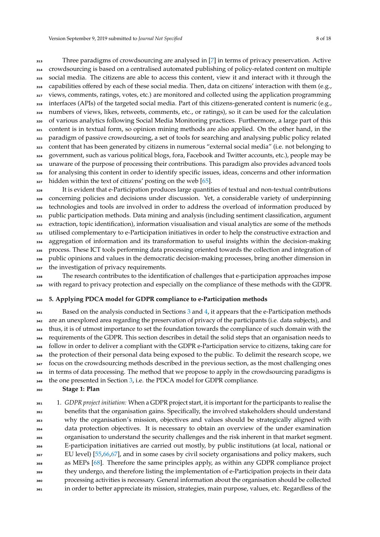Three paradigms of crowdsourcing are analysed in [\[7\]](#page-14-5) in terms of privacy preservation. Active crowdsourcing is based on a centralised automated publishing of policy-related content on multiple social media. The citizens are able to access this content, view it and interact with it through the capabilities offered by each of these social media. Then, data on citizens' interaction with them (e.g., views, comments, ratings, votes, etc.) are monitored and collected using the application programming interfaces (APIs) of the targeted social media. Part of this citizens-generated content is numeric (e.g., numbers of views, likes, retweets, comments, etc., or ratings), so it can be used for the calculation of various analytics following Social Media Monitoring practices. Furthermore, a large part of this content is in textual form, so opinion mining methods are also applied. On the other hand, in the paradigm of passive crowdsourcing, a set of tools for searching and analysing public policy related content that has been generated by citizens in numerous "external social media" (i.e. not belonging to government, such as various political blogs, fora, Facebook and Twitter accounts, etc.), people may be unaware of the purpose of processing their contributions. This paradigm also provides advanced tools for analysing this content in order to identify specific issues, ideas, concerns and other information hidden within the text of citizens' posting on the web  $[65]$ .

 It is evident that e-Participation produces large quantities of textual and non-textual contributions concerning policies and decisions under discussion. Yet, a considerable variety of underpinning technologies and tools are involved in order to address the overload of information produced by public participation methods. Data mining and analysis (including sentiment classification, argument extraction, topic identification), information visualisation and visual analytics are some of the methods utilised complementary to e-Participation initiatives in order to help the constructive extraction and aggregation of information and its transformation to useful insights within the decision-making process. These ICT tools performing data processing oriented towards the collection and integration of public opinions and values in the democratic decision-making processes, bring another dimension in 337 the investigation of privacy requirements.

 The research contributes to the identification of challenges that e-participation approaches impose with regard to privacy protection and especially on the compliance of these methods with the GDPR.

#### <span id="page-7-0"></span>**5. Applying PDCA model for GDPR compliance to e-Participation methods**

 $341$  Based on the analysis conducted in Sections 3 and [4,](#page-6-0) it appears that the e-Participation methods are an unexplored area regarding the preservation of privacy of the participants (i.e. data subjects), and thus, it is of utmost importance to set the foundation towards the compliance of such domain with the requirements of the GDPR. This section describes in detail the solid steps that an organisation needs to follow in order to deliver a compliant with the GDPR e-Participation service to citizens, taking care for the protection of their personal data being exposed to the public. To delimit the research scope, we <sup>347</sup> focus on the crowdsourcing methods described in the previous section, as the most challenging ones <sup>348</sup> in terms of data processing. The method that we propose to apply in the crowdsourcing paradigms is  $\frac{349}{100}$  the one presented in Section [3,](#page-3-0) i.e. the PDCA model for GDPR compliance.

**Stage 1: Plan** 

 1. *GDPR project initiation:* When a GDPR project start, it is important for the participants to realise the benefits that the organisation gains. Specifically, the involved stakeholders should understand why the organisation's mission, objectives and values should be strategically aligned with data protection objectives. It is necessary to obtain an overview of the under examination organisation to understand the security challenges and the risk inherent in that market segment. E-participation initiatives are carried out mostly, by public institutions (at local, national or EU level) [\[55,](#page-16-13)[66,](#page-17-1)[67\]](#page-17-2), and in some cases by civil society organisations and policy makers, such as MEPs [\[68\]](#page-17-3). Therefore the same principles apply, as within any GDPR compliance project they undergo, and therefore listing the implementation of e-Participation projects in their data processing activities is necessary. General information about the organisation should be collected in order to better appreciate its mission, strategies, main purpose, values, etc. Regardless of the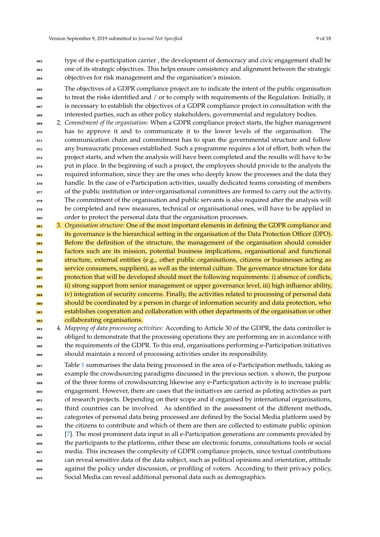- <sup>362</sup> type of the e-participation carrier , the development of democracy and civic engagement shall be <sup>363</sup> one of its strategic objectives. This helps ensure consistency and alignment between the strategic <sup>364</sup> objectives for risk management and the organisation's mission.
- The objectives of a GDPR compliance project are to indicate the intent of the public organisation to treat the risks identified and / or to comply with requirements of the Regulation. Initially, it is necessary to establish the objectives of a GDPR compliance project in consultation with the <sup>368</sup> interested parties, such as other policy stakeholders, governmental and regulatory bodies.
- <sup>369</sup> 2. *Commitment of the organisation:* When a GDPR compliance project starts, the higher management has to approve it and to communicate it to the lower levels of the organisation. The <sup>371</sup> communication chain and commitment has to span the governmental structure and follow <sup>372</sup> any bureaucratic processes established. Such a programme requires a lot of effort, both when the <sub>373</sub> project starts, and when the analysis will have been completed and the results will have to be <sup>374</sup> put in place. In the beginning of such a project, the employees should provide to the analysts the <sup>375</sup> required information, since they are the ones who deeply know the processes and the data they <sup>376</sup> handle. In the case of e-Participation activities, usually dedicated teams consisting of members 377 of the public institution or inter-organisational committees are formed to carry out the activity. <sup>378</sup> The commitment of the organisation and public servants is also required after the analysis will <sup>379</sup> be completed and new measures, technical or organisational ones, will have to be applied in order to protect the personal data that the organisation processes.
- <sup>381</sup> 3. *Organisation structure:* One of the most important elements in defining the GDPR compliance and <sup>382</sup> its governance is the hierarchical setting in the organisation of the Data Protection Officer (DPO). **383** Before the definition of the structure, the management of the organisation should consider factors such are its mission, potential business implications, organisational and functional structure, external entities (e.g., other public organisations, citizens or businesses acting as <sup>386</sup> service consumers, suppliers), as well as the internal culture. The governance structure for data <sup>387</sup> protection that will be developed should meet the following requirements: i) absence of conflicts, ii) strong support from senior management or upper governance level, iii) high influence ability, iv) integration of security concerns. Finally, the activities related to processing of personal data should be coordinated by a person in charge of information security and data protection, who **391** establishes cooperation and collaboration with other departments of the organisation or other <sup>392</sup> collaborating organisations.
- <sup>393</sup> 4. *Mapping of data processing activities:* According to Article 30 of the GDPR, the data controller is <sup>394</sup> obliged to demonstrate that the processing operations they are performing are in accordance with <sup>395</sup> the requirements of the GDPR. To this end, organisations performing e-Participation initiatives <sup>396</sup> should maintain a record of processing activities under its responsibility.
- 397 Table [1](#page-9-0) summarises the data being processed in the area of e-Participation methods, taking as <sup>398</sup> example the crowdsourcing paradigms discussed in the previous section. s shown, the purpose of the three forms of crowdsourcing likewise any e-Participation activity is to increase public <sup>400</sup> engagement. However, there are cases that the initiatives are carried as piloting activities as part of research projects. Depending on their scope and if organised by international organisations, <sup>402</sup> third countries can be involved. As identified in the assessment of the different methods, <sup>403</sup> categories of personal data being processed are defined by the Social Media platform used by <sup>404</sup> the citizens to contribute and which of them are then are collected to estimate public opinion [\[7\]](#page-14-5). The most prominent data input in all e-Participation generations are comments provided by the participants to the platforms, either these are electronic forums, consultations tools or social <sup>407</sup> media. This increases the complexity of GDPR compliance projects, since textual contributions <sup>408</sup> can reveal sensitive data of the data subject, such as political opinions and orientation, attitude <sup>409</sup> against the policy under discussion, or profiling of voters. According to their privacy policy, <sup>410</sup> Social Media can reveal additional personal data such as demographics.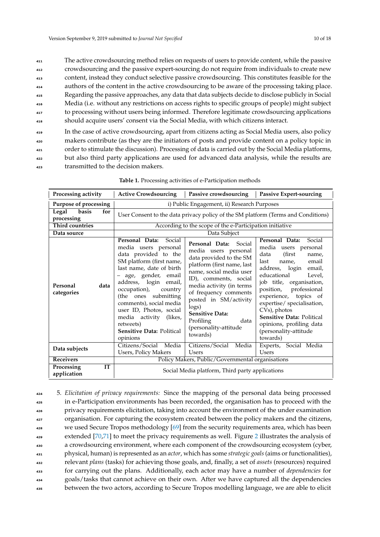The active crowdsourcing method relies on requests of users to provide content, while the passive crowdsourcing and the passive expert-sourcing do not require from individuals to create new content, instead they conduct selective passive crowdsourcing. This constitutes feasible for the authors of the content in the active crowdsourcing to be aware of the processing taking place. Regarding the passive approaches, any data that data subjects decide to disclose publicly in Social Media (i.e. without any restrictions on access rights to specific groups of people) might subject to processing without users being informed. Therefore legitimate crowdsourcing applications should acquire users' consent via the Social Media, with which citizens interact.

<sup>419</sup> In the case of active crowdsourcing, apart from citizens acting as Social Media users, also policy makers contribute (as they are the initiators of posts and provide content on a policy topic in order to stimulate the discussion). Processing of data is carried out by the Social Media platforms, <sup>422</sup> but also third party applications are used for advanced data analysis, while the results are <sup>423</sup> transmitted to the decision makers.

<span id="page-9-0"></span>

| Processing activity                    | <b>Active Crowdsourcing</b>                                                                                                                                                                                                                                                                                                                                                | Passive crowdsourcing   Passive Expert-sourcing                                                                                                                                                                                                                                                                                            |                                                                                                                                                                                                                                                                                                                                                                                           |
|----------------------------------------|----------------------------------------------------------------------------------------------------------------------------------------------------------------------------------------------------------------------------------------------------------------------------------------------------------------------------------------------------------------------------|--------------------------------------------------------------------------------------------------------------------------------------------------------------------------------------------------------------------------------------------------------------------------------------------------------------------------------------------|-------------------------------------------------------------------------------------------------------------------------------------------------------------------------------------------------------------------------------------------------------------------------------------------------------------------------------------------------------------------------------------------|
| Purpose of processing                  | i) Public Engagement, ii) Research Purposes                                                                                                                                                                                                                                                                                                                                |                                                                                                                                                                                                                                                                                                                                            |                                                                                                                                                                                                                                                                                                                                                                                           |
| basis<br>Legal<br>for<br>processing    |                                                                                                                                                                                                                                                                                                                                                                            |                                                                                                                                                                                                                                                                                                                                            | User Consent to the data privacy policy of the SM platform (Terms and Conditions)                                                                                                                                                                                                                                                                                                         |
| <b>Third countries</b>                 | According to the scope of the e-Participation initiative                                                                                                                                                                                                                                                                                                                   |                                                                                                                                                                                                                                                                                                                                            |                                                                                                                                                                                                                                                                                                                                                                                           |
| Data source                            |                                                                                                                                                                                                                                                                                                                                                                            | Data Subject                                                                                                                                                                                                                                                                                                                               |                                                                                                                                                                                                                                                                                                                                                                                           |
| data<br>Personal<br>categories         | Personal Data:<br>Social<br>media users personal<br>data provided to the<br>SM platform (first name,<br>last name, date of birth<br>- age, gender, email<br>address, login email,<br>occupation),<br>country<br>(the ones submitting<br>comments), social media<br>user ID, Photos, social<br>media activity (likes,<br>retweets)<br>Sensitive Data: Political<br>opinions | Personal Data: Social<br>media users personal<br>data provided to the SM<br>platform (first name, last<br>name, social media user<br>ID), comments, social<br>media activity (in terms<br>of frequency comments<br>posted in SM/activity<br>$\log s$ )<br><b>Sensitive Data:</b><br>Profiling<br>data<br>(personality-attitude<br>towards) | Social<br>Personal Data:<br>media users personal<br>(first)<br>data<br>name,<br>last<br>email<br>name,<br>address, login<br>email,<br>educational<br>Level,<br>job title, organisation,<br>professional<br>position,<br>experience, topics of<br>expertise/ specialisation,<br>CVs), photos<br>Sensitive Data: Political<br>opinions, profiling data<br>(personality-attitude<br>towards) |
| Data subjects                          | Citizens/Social Media                                                                                                                                                                                                                                                                                                                                                      | Citizens/Social Media                                                                                                                                                                                                                                                                                                                      | Experts, Social Media                                                                                                                                                                                                                                                                                                                                                                     |
|                                        | <b>Users, Policy Makers</b>                                                                                                                                                                                                                                                                                                                                                | <b>Users</b>                                                                                                                                                                                                                                                                                                                               | Users                                                                                                                                                                                                                                                                                                                                                                                     |
| <b>Receivers</b>                       |                                                                                                                                                                                                                                                                                                                                                                            | Policy Makers, Public/Governmental organisations                                                                                                                                                                                                                                                                                           |                                                                                                                                                                                                                                                                                                                                                                                           |
| <b>IT</b><br>Processing<br>application |                                                                                                                                                                                                                                                                                                                                                                            | Social Media platform, Third party applications                                                                                                                                                                                                                                                                                            |                                                                                                                                                                                                                                                                                                                                                                                           |

 5. *Elicitation of privacy requirements:* Since the mapping of the personal data being processed in e-Participation environments has been recorded, the organisation has to proceed with the privacy requirements elicitation, taking into account the environment of the under examination organisation. For capturing the ecosystem created between the policy makers and the citizens, we used Secure Tropos methodology  $[69]$  from the security requirements area, which has been extended  $[70,71]$  $[70,71]$  to meet the privacy requirements as well. Figure [2](#page-10-0) illustrates the analysis of a crowdsourcing environment, where each component of the crowdsourcing ecosystem (cyber, physical, human) is represented as an *actor*, which has some *strategic goals* (aims or functionalities), relevant *plans* (tasks) for achieving those goals, and, finally, a set of *assets* (resources) required for carrying out the plans. Additionally, each actor may have a number of *dependencies* for goals/tasks that cannot achieve on their own. After we have captured all the dependencies between the two actors, according to Secure Tropos modelling language, we are able to elicit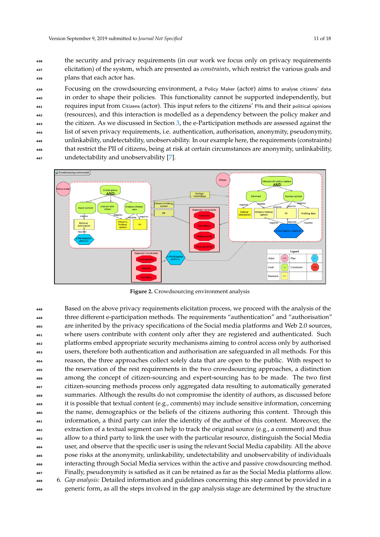the security and privacy requirements (in our work we focus only on privacy requirements elicitation) of the system, which are presented as *constraints*, which restrict the various goals and plans that each actor has.

 Focusing on the crowdsourcing environment, a Policy Maker (actor) aims to analyse citizens' data in order to shape their policies. This functionality cannot be supported independently, but requires input from Citizens (actor). This input refers to the citizens' PIIs and their political opinions (resources), and this interaction is modelled as a dependency between the policy maker and the citizen. As we discussed in Section [3,](#page-3-0) the e-Participation methods are assessed against the list of seven privacy requirements, i.e. authentication, authorisation, anonymity, pseudonymity, unlinkability, undetectability, unobservability. In our example here, the requirements (constraints) that restrict the PII of citizens, being at risk at certain circumstances are anonymity, unlinkability, undetectability and unobservability [\[7\]](#page-14-5).

<span id="page-10-0"></span>

**Figure 2.** Crowdsourcing environment analysis

Based on the above privacy requirements elicitation process, we proceed with the analysis of the three different e-participation methods. The requirements "authentication" and "authorisation" are inherited by the privacy specifications of the Social media platforms and Web 2.0 sources, where users contribute with content only after they are registered and authenticated. Such platforms embed appropriate security mechanisms aiming to control access only by authorised users, therefore both authentication and authorisation are safeguarded in all methods. For this reason, the three approaches collect solely data that are open to the public. With respect to the reservation of the rest requirements in the two crowdsourcing approaches, a distinction among the concept of citizen-sourcing and expert-sourcing has to be made. The two first citizen-sourcing methods process only aggregated data resulting to automatically generated summaries. Although the results do not compromise the identity of authors, as discussed before it is possible that textual content (e.g., comments) may include sensitive information, concerning the name, demographics or the beliefs of the citizens authoring this content. Through this information, a third party can infer the identity of the author of this content. Moreover, the extraction of a textual segment can help to track the original source (e.g., a comment) and thus allow to a third party to link the user with the particular resource, distinguish the Social Media user, and observe that the specific user is using the relevant Social Media capability. All the above pose risks at the anonymity, unlinkability, undetectability and unobservability of individuals interacting through Social Media services within the active and passive crowdsourcing method. Finally, pseudonymity is satisfied as it can be retained as far as the Social Media platforms allow. 6. *Gap analysis:* Detailed information and guidelines concerning this step cannot be provided in a generic form, as all the steps involved in the gap analysis stage are determined by the structure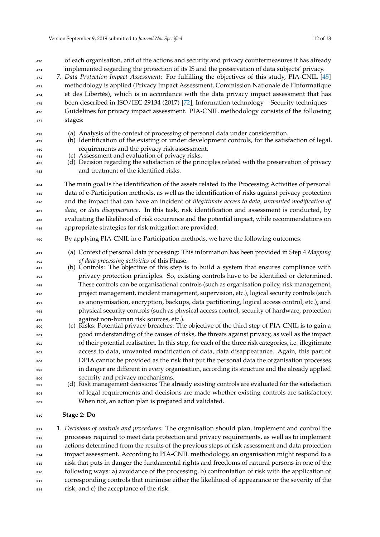| 471<br>472<br>473<br>474<br>475<br>476<br>477                                                         | implemented regarding the protection of its IS and the preservation of data subjects' privacy.<br>7. Data Protection Impact Assessment: For fulfilling the objectives of this study, PIA-CNIL [45]<br>methodology is applied (Privacy Impact Assessment, Commission Nationale de l'Informatique<br>et des Libertés), which is in accordance with the data privacy impact assessment that has<br>been described in ISO/IEC 29134 (2017) [72], Information technology - Security techniques -<br>Guidelines for privacy impact assessment. PIA-CNIL methodology consists of the following<br>stages:                                                                                                                                                                                                                                                                                                                                                                                                                                                                                                                                                                                                                                                                                                                                                                                         |
|-------------------------------------------------------------------------------------------------------|--------------------------------------------------------------------------------------------------------------------------------------------------------------------------------------------------------------------------------------------------------------------------------------------------------------------------------------------------------------------------------------------------------------------------------------------------------------------------------------------------------------------------------------------------------------------------------------------------------------------------------------------------------------------------------------------------------------------------------------------------------------------------------------------------------------------------------------------------------------------------------------------------------------------------------------------------------------------------------------------------------------------------------------------------------------------------------------------------------------------------------------------------------------------------------------------------------------------------------------------------------------------------------------------------------------------------------------------------------------------------------------------|
| 478<br>479<br>480<br>481<br>482<br>483                                                                | (a) Analysis of the context of processing of personal data under consideration.<br>(b) Identification of the existing or under development controls, for the satisfaction of legal.<br>requirements and the privacy risk assessment.<br>(c) Assessment and evaluation of privacy risks.<br>(d) Decision regarding the satisfaction of the principles related with the preservation of privacy<br>and treatment of the identified risks.                                                                                                                                                                                                                                                                                                                                                                                                                                                                                                                                                                                                                                                                                                                                                                                                                                                                                                                                                    |
| 484<br>485<br>486<br>487<br>488<br>489                                                                | The main goal is the identification of the assets related to the Processing Activities of personal<br>data of e-Participation methods, as well as the identification of risks against privacy protection<br>and the impact that can have an incident of illegitimate access to data, unwanted modification of<br>data, or data disappearance. In this task, risk identification and assessment is conducted, by<br>evaluating the likelihood of risk occurrence and the potential impact, while recommendations on<br>appropriate strategies for risk mitigation are provided.                                                                                                                                                                                                                                                                                                                                                                                                                                                                                                                                                                                                                                                                                                                                                                                                             |
| 490                                                                                                   | By applying PIA-CNIL in e-Participation methods, we have the following outcomes:                                                                                                                                                                                                                                                                                                                                                                                                                                                                                                                                                                                                                                                                                                                                                                                                                                                                                                                                                                                                                                                                                                                                                                                                                                                                                                           |
| 491<br>492<br>493<br>494<br>495<br>496<br>497<br>498<br>499<br>500<br>501<br>502<br>503<br>504<br>505 | (a) Context of personal data processing: This information has been provided in Step 4 Mapping<br>of data processing activities of this Phase.<br>(b) Controls: The objective of this step is to build a system that ensures compliance with<br>privacy protection principles. So, existing controls have to be identified or determined.<br>These controls can be organisational controls (such as organisation policy, risk management,<br>project management, incident management, supervision, etc.), logical security controls (such<br>as anonymisation, encryption, backups, data partitioning, logical access control, etc.), and<br>physical security controls (such as physical access control, security of hardware, protection<br>against non-human risk sources, etc.).<br>(c) Risks: Potential privacy breaches: The objective of the third step of PIA-CNIL is to gain a<br>good understanding of the causes of risks, the threats against privacy, as well as the impact<br>of their potential realisation. In this step, for each of the three risk categories, i.e. illegitimate<br>access to data, unwanted modification of data, data disappearance. Again, this part of<br>DPIA cannot be provided as the risk that put the personal data the organisation processes<br>in danger are different in every organisation, according its structure and the already applied |

of each organisation, and of the actions and security and privacy countermeasures it has already

 security and privacy mechanisms. (d) Risk management decisions: The already existing controls are evaluated for the satisfaction of legal requirements and decisions are made whether existing controls are satisfactory. When not, an action plan is prepared and validated.

# **Stage 2: Do**

 1. *Decisions of controls and procedures:* The organisation should plan, implement and control the processes required to meet data protection and privacy requirements, as well as to implement actions determined from the results of the previous steps of risk assessment and data protection impact assessment. According to PIA-CNIL methodology, an organisation might respond to a risk that puts in danger the fundamental rights and freedoms of natural persons in one of the following ways: a) avoidance of the processing, b) confrontation of risk with the application of corresponding controls that minimise either the likelihood of appearance or the severity of the risk, and c) the acceptance of the risk.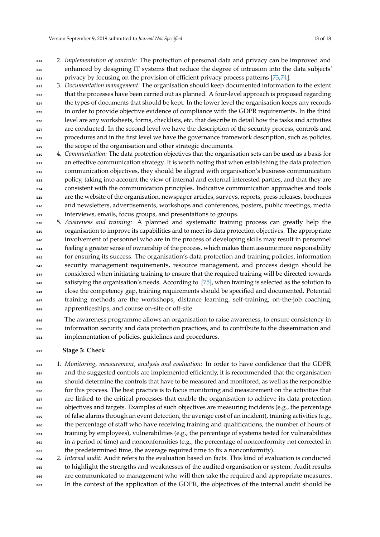2. *Implementation of controls:* The protection of personal data and privacy can be improved and enhanced by designing IT systems that reduce the degree of intrusion into the data subjects' privacy by focusing on the provision of efficient privacy process patterns [\[73](#page-17-8)[,74\]](#page-17-9).

 3. *Documentation management:* The organisation should keep documented information to the extent that the processes have been carried out as planned. A four-level approach is proposed regarding the types of documents that should be kept. In the lower level the organisation keeps any records in order to provide objective evidence of compliance with the GDPR requirements. In the third level are any worksheets, forms, checklists, etc. that describe in detail how the tasks and activities <sub>527</sub> are conducted. In the second level we have the description of the security process, controls and procedures and in the first level we have the governance framework description, such as policies, the scope of the organisation and other strategic documents.

- 4. *Communication:* The data protection objectives that the organisation sets can be used as a basis for an effective communication strategy. It is worth noting that when establishing the data protection communication objectives, they should be aligned with organisation's business communication policy, taking into account the view of internal and external interested parties, and that they are consistent with the communication principles. Indicative communication approaches and tools are the website of the organisation, newspaper articles, surveys, reports, press releases, brochures and newsletters, advertisements, workshops and conferences, posters, public meetings, media interviews, emails, focus groups, and presentations to groups.
- 5. *Awareness and training:* A planned and systematic training process can greatly help the organisation to improve its capabilities and to meet its data protection objectives. The appropriate involvement of personnel who are in the process of developing skills may result in personnel feeling a greater sense of ownership of the process, which makes them assume more responsibility for ensuring its success. The organisation's data protection and training policies, information security management requirements, resource management, and process design should be considered when initiating training to ensure that the required training will be directed towards satisfying the organisation's needs. According to [\[75\]](#page-17-10), when training is selected as the solution to close the competency gap, training requirements should be specified and documented. Potential training methods are the workshops, distance learning, self-training, on-the-job coaching, apprenticeships, and course on-site or off-site.
- <sub>549</sub> The awareness programme allows an organisation to raise awareness, to ensure consistency in information security and data protection practices, and to contribute to the dissemination and implementation of policies, guidelines and procedures.

# **Stage 3: Check**

- 1. *Monitoring, measurement, analysis and evaluation:* In order to have confidence that the GDPR and the suggested controls are implemented efficiently, it is recommended that the organisation should determine the controls that have to be measured and monitored, as well as the responsible for this process. The best practice is to focus monitoring and measurement on the activities that are linked to the critical processes that enable the organisation to achieve its data protection objectives and targets. Examples of such objectives are measuring incidents (e.g., the percentage <sub>559</sub> of false alarms through an event detection, the average cost of an incident), training activities (e.g., the percentage of staff who have receiving training and qualifications, the number of hours of training by employees), vulnerabilities (e.g., the percentage of systems tested for vulnerabilities in a period of time) and nonconformities (e.g., the percentage of nonconformity not corrected in the predetermined time, the average required time to fix a nonconformity).
- 2. *Internal audit:* Audit refers to the evaluation based on facts. This kind of evaluation is conducted to highlight the strengths and weaknesses of the audited organisation or system. Audit results are communicated to management who will then take the required and appropriate measures. In the context of the application of the GDPR, the objectives of the internal audit should be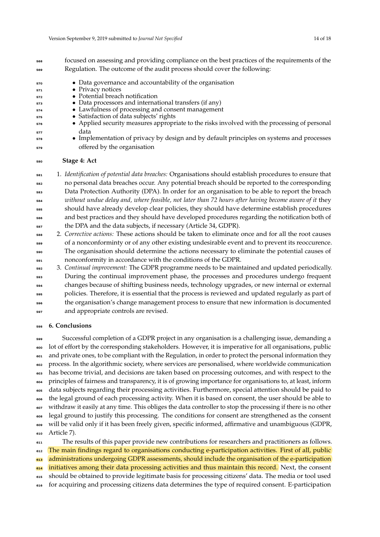Regulation. The outcome of the audit process should cover the following:

- Data governance and accountability of the organisation
- Privacy notices
	- Potential breach notification
	- Data processors and international transfers (if any)
- Lawfulness of processing and consent management
- Satisfaction of data subjects' rights
- Applied security measures appropriate to the risks involved with the processing of personal data
- Implementation of privacy by design and by default principles on systems and processes offered by the organisation

## **Stage 4: Act**

 1. *Identification of potential data breaches:* Organisations should establish procedures to ensure that no personal data breaches occur. Any potential breach should be reported to the corresponding Data Protection Authority (DPA). In order for an organisation to be able to report the breach *without undue delay and, where feasible, not later than 72 hours after having become aware of it* they should have already develop clear policies, they should have determine establish procedures and best practices and they should have developed procedures regarding the notification both of the DPA and the data subjects, if necessary (Article 34, GDPR).

- 2. *Corrective actions:* These actions should be taken to eliminate once and for all the root causes of a nonconforminty or of any other existing undesirable event and to prevent its reoccurence. The organisation should determine the actions necessary to eliminate the potential causes of nonconformity in accordance with the conditions of the GDPR.
- 3. *Continual improvement:* The GDPR programme needs to be maintained and updated periodically. During the continual improvement phase, the processes and procedures undergo frequent changes because of shifting business needs, technology upgrades, or new internal or external policies. Therefore, it is essential that the process is reviewed and updated regularly as part of the organisation's change management process to ensure that new information is documented and appropriate controls are revised.

# <span id="page-13-0"></span>**6. Conclusions**

 Successful completion of a GDPR project in any organisation is a challenging issue, demanding a lot of effort by the corresponding stakeholders. However, it is imperative for all organisations, public <sub>601</sub> and private ones, to be compliant with the Regulation, in order to protect the personal information they process. In the algorithmic society, where services are personalised, where worldwide communication has become trivial, and decisions are taken based on processing outcomes, and with respect to the principles of fairness and transparency, it is of growing importance for organisations to, at least, inform data subjects regarding their processing activities. Furthermore, special attention should be paid to the legal ground of each processing activity. When it is based on consent, the user should be able to withdraw it easily at any time. This obliges the data controller to stop the processing if there is no other legal ground to justify this processing. The conditions for consent are strengthened as the consent will be valid only if it has been freely given, specific informed, affirmative and unambiguous (GDPR, Article 7).

<sup>611</sup> The results of this paper provide new contributions for researchers and practitioners as follows. The main findings regard to organisations conducting e-participation activities. First of all, public administrations undergoing GDPR assessments, should include the organisation of the e-participation initiatives among their data processing activities and thus maintain this record. Next, the consent should be obtained to provide legitimate basis for processing citizens' data. The media or tool used for acquiring and processing citizens data determines the type of required consent. E-participation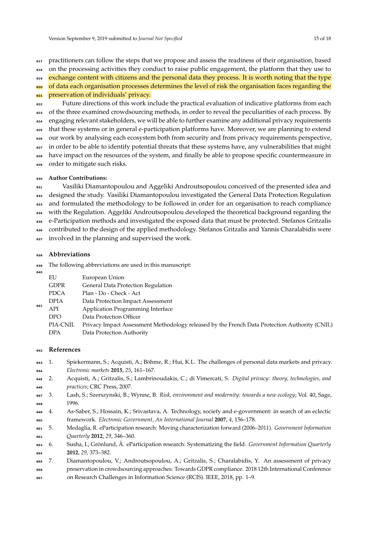practitioners can follow the steps that we propose and assess the readiness of their organisation, based on the processing activities they conduct to raise public engagement, the platform that they use to

exchange content with citizens and the personal data they process. It is worth noting that the type

<sub>620</sub> of data each organisation processes determines the level of risk the organisation faces regarding the preservation of individuals' privacy.

 Future directions of this work include the practical evaluation of indicative platforms from each <sup>623</sup> of the three examined crowdsourcing methods, in order to reveal the peculiarities of each process. By engaging relevant stakeholders, we will be able to further examine any additional privacy requirements that these systems or in general e-participation platforms have. Moreover, we are planning to extend our work by analysing each ecosystem both from security and from privacy requirements perspective, in order to be able to identify potential threats that these systems have, any vulnerabilities that might have impact on the resources of the system, and finally be able to propose specific countermeasure in order to mitigate such risks.

# **Author Contributions:**

 Vasiliki Diamantopoulou and Aggeliki Androutsopoulou conceived of the presented idea and designed the study. Vasiliki Diamantopoulou investigated the General Data Protection Regulation <sup>633</sup> and formulated the methodology to be followed in order for an organisation to reach compliance with the Regulation. Aggeliki Androutsopoulou developed the theoretical background regarding the e-Participation methods and investigated the exposed data that must be protected. Stefanos Gritzalis contributed to the design of the applied methodology. Stefanos Gritzalis and Yannis Charalabidis were 637 involved in the planning and supervised the work.

## **Abbreviations**

The following abbreviations are used in this manuscript:

| 640 |             |                                                                                               |
|-----|-------------|-----------------------------------------------------------------------------------------------|
| 641 | EU          | European Union                                                                                |
|     | <b>GDPR</b> | General Data Protection Regulation                                                            |
|     | <b>PDCA</b> | Plan - Do - Check - Act                                                                       |
|     | <b>DPIA</b> | Data Protection Impact Assessment                                                             |
|     | API         | Application Programming Interface                                                             |
|     | <b>DPO</b>  | Data Protection Officer                                                                       |
|     | PIA-CNIL    | Privacy Impact Assessment Methodology released by the French Data Protection Authority (CNIL) |
|     | DPA         | Data Protection Authority                                                                     |

## **References**

- <span id="page-14-0"></span> 1. Spiekermann, S.; Acquisti, A.; Böhme, R.; Hui, K.L. The challenges of personal data markets and privacy. *Electronic markets* **2015**, *25*, 161–167.
- <span id="page-14-1"></span> 2. Acquisti, A.; Gritzalis, S.; Lambrinoudakis, C.; di Vimercati, S. *Digital privacy: theory, technologies, and practices*; CRC Press, 2007.
- <span id="page-14-2"></span> 3. Lash, S.; Szerszynski, B.; Wynne, B. *Risk, environment and modernity: towards a new ecology*; Vol. 40, Sage, 1996.
- <span id="page-14-3"></span> 4. As-Saber, S.; Hossain, K.; Srivastava, A. Technology, society and e-government: in search of an eclectic framework. *Electronic Government, An International Journal* **2007**, *4*, 156–178.
- 5. Medaglia, R. eParticipation research: Moving characterization forward (2006–2011). *Government Information Quarterly* **2012**, *29*, 346–360.
- <span id="page-14-4"></span> 6. Susha, I.; Grönlund, Å. eParticipation research: Systematizing the field. *Government Information Quarterly* **2012**, *29*, 373–382.
- <span id="page-14-5"></span> 7. Diamantopoulou, V.; Androutsopoulou, A.; Gritzalis, S.; Charalabidis, Y. An assessment of privacy preservation in crowdsourcing approaches: Towards GDPR compliance. 2018 12th International Conference on Research Challenges in Information Science (RCIS). IEEE, 2018, pp. 1–9.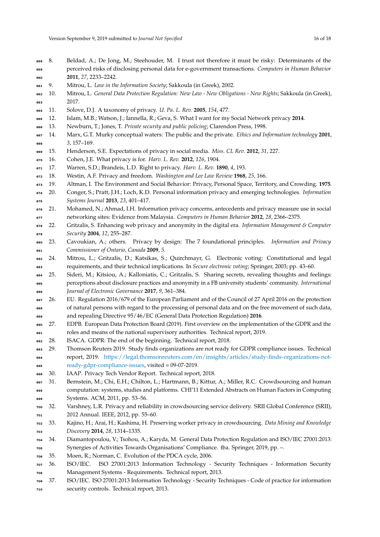- <span id="page-15-17"></span><span id="page-15-16"></span><span id="page-15-15"></span><span id="page-15-14"></span><span id="page-15-13"></span><span id="page-15-12"></span><span id="page-15-11"></span><span id="page-15-10"></span><span id="page-15-9"></span><span id="page-15-8"></span><span id="page-15-7"></span><span id="page-15-6"></span><span id="page-15-5"></span><span id="page-15-4"></span><span id="page-15-3"></span><span id="page-15-2"></span><span id="page-15-1"></span><span id="page-15-0"></span> 8. Beldad, A.; De Jong, M.; Steehouder, M. I trust not therefore it must be risky: Determinants of the perceived risks of disclosing personal data for e-government transactions. *Computers in Human Behavior* **2011**, *27*, 2233–2242. 9. Mitrou, L. *Law in the Information Society*; Sakkoula (in Greek), 2002. 10. Mitrou, L. *General Data Protection Regulation: New Law - New Obligations - New Rights*; Sakkoula (in Greek), 2017. 11. Solove, D.J. A taxonomy of privacy. *U. Pa. L. Rev.* **2005**, *154*, 477. 12. Islam, M.B.; Watson, J.; Iannella, R.; Geva, S. What I want for my Social Network privacy **2014**. 13. Newburn, T.; Jones, T. *Private security and public policing*; Clarendon Press, 1998. 14. Marx, G.T. Murky conceptual waters: The public and the private. *Ethics and Information technology* **2001**, *3*, 157–169. 15. Henderson, S.E. Expectations of privacy in social media. *Miss. CL Rev.* **2012**, *31*, 227. 16. Cohen, J.E. What privacy is for. *Harv. L. Rev.* **2012**, *126*, 1904. 17. Warren, S.D.; Brandeis, L.D. Right to privacy. *Harv. L. Rev.* **1890**, *4*, 193. 18. Westin, A.F. Privacy and freedom. *Washington and Lee Law Review* **1968**, *25*, 166. 19. Altman, I. The Environment and Social Behavior: Privacy, Personal Space, Territory, and Crowding. **1975**. 20. Conger, S.; Pratt, J.H.; Loch, K.D. Personal information privacy and emerging technologies. *Information Systems Journal* **2013**, *23*, 401–417. 21. Mohamed, N.; Ahmad, I.H. Information privacy concerns, antecedents and privacy measure use in social networking sites: Evidence from Malaysia. *Computers in Human Behavior* **2012**, *28*, 2366–2375. 22. Gritzalis, S. Enhancing web privacy and anonymity in the digital era. *Information Management & Computer Security* **2004**, *12*, 255–287. 23. Cavoukian, A.; others. Privacy by design: The 7 foundational principles. *Information and Privacy Commissioner of Ontario, Canada* **2009**, *5*. 24. Mitrou, L.; Gritzalis, D.; Katsikas, S.; Quirchmayr, G. Electronic voting: Constitutional and legal requirements, and their technical implications. In *Secure electronic voting*; Springer, 2003; pp. 43–60. 25. Sideri, M.; Kitsiou, A.; Kalloniatis, C.; Gritzalis, S. Sharing secrets, revealing thoughts and feelings: perceptions about disclosure practices and anonymity in a FB university students' community. *International Journal of Electronic Governance* **2017**, *9*, 361–384. 687 26. EU. Regulation 2016/679 of the European Parliament and of the Council of 27 April 2016 on the protection of natural persons with regard to the processing of personal data and on the free movement of such data, and repealing Directive 95/46/EC (General Data Protection Regulation) **2016**. 27. EDPB. European Data Protection Board (2019). First overview on the implementation of the GDPR and the roles and means of the national supervisory authorities. Technical report, 2019. 28. ISACA. GDPR: The end of the beginning. Technical report, 2018. 29. Thomson Reuters 2019. Study finds organizations are not ready for GDPR compliance issues. Technical report, 2019. [https://legal.thomsonreuters.com/en/insights/articles/study-finds-organizations-not-](https://legal.thomsonreuters.com/en/insights/articles/study-finds-organizations-not-ready-gdpr-compliance-issues) [ready-gdpr-compliance-issues,](https://legal.thomsonreuters.com/en/insights/articles/study-finds-organizations-not-ready-gdpr-compliance-issues) visited = 09-07-2019. 30. IAAP. Privacy Tech Vendor Report. Technical report, 2018. 31. Bernstein, M.; Chi, E.H.; Chilton, L.; Hartmann, B.; Kittur, A.; Miller, R.C. Crowdsourcing and human computation: systems, studies and platforms. CHI'11 Extended Abstracts on Human Factors in Computing Systems. ACM, 2011, pp. 53-56. 32. Varshney, L.R. Privacy and reliability in crowdsourcing service delivery. SRII Global Conference (SRII), 2012 Annual. IEEE, 2012, pp. 55–60. 33. Kajino, H.; Arai, H.; Kashima, H. Preserving worker privacy in crowdsourcing. *Data Mining and Knowledge Discovery* **2014**, *28*, 1314–1335. 34. Diamantopoulou, V.; Tsohou, A.; Karyda, M. General Data Protection Regulation and ISO/IEC 27001:2013: Synergies of Activities Towards Organisations' Compliance. tba. Springer, 2019, pp. –. 35. Moen, R.; Norman, C. Evolution of the PDCA cycle, 2006. 36. ISO/IEC. ISO 27001:2013 Information Technology - Security Techniques - Information Security Management Systems - Requirements. Technical report, 2013. 37. ISO/IEC. ISO 27001:2013 Information Technology - Security Techniques - Code of practice for information
- <span id="page-15-29"></span><span id="page-15-28"></span><span id="page-15-27"></span><span id="page-15-26"></span><span id="page-15-25"></span><span id="page-15-24"></span><span id="page-15-23"></span><span id="page-15-22"></span><span id="page-15-21"></span><span id="page-15-20"></span><span id="page-15-19"></span><span id="page-15-18"></span>security controls. Technical report, 2013.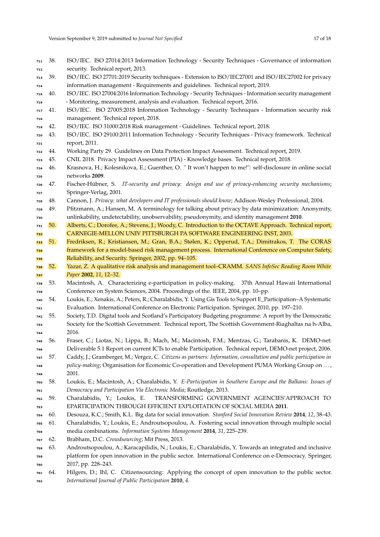<span id="page-16-10"></span><span id="page-16-9"></span><span id="page-16-8"></span><span id="page-16-7"></span><span id="page-16-6"></span><span id="page-16-5"></span><span id="page-16-4"></span><span id="page-16-3"></span><span id="page-16-2"></span><span id="page-16-1"></span><span id="page-16-0"></span>

| 711 | 38. | ISO/IEC. ISO 27014:2013 Information Technology - Security Techniques - Governance of information                                                                                                                  |
|-----|-----|-------------------------------------------------------------------------------------------------------------------------------------------------------------------------------------------------------------------|
| 712 |     | security. Technical report, 2013.                                                                                                                                                                                 |
| 713 | 39. | ISO/IEC. ISO 27701:2019 Security techniques - Extension to ISO/IEC27001 and ISO/IEC27002 for privacy                                                                                                              |
| 714 |     | information management - Requirements and guidelines. Technical report, 2019.                                                                                                                                     |
| 715 | 40. | ISO/IEC. ISO 27004:2016 Information Technology - Security Techniques - Information security management                                                                                                            |
| 716 |     | - Monitoring, measurement, analysis and evaluation. Technical report, 2016.                                                                                                                                       |
| 717 | 41. | ISO/IEC. ISO 27005:2018 Information Technology - Security Techniques - Information security risk                                                                                                                  |
| 718 |     | management. Technical report, 2018.                                                                                                                                                                               |
| 719 | 42. | ISO/IEC. ISO 31000:2018 Risk management - Guidelines. Technical report, 2018.                                                                                                                                     |
| 720 | 43. | ISO/IEC. ISO 29100:2011 Information Technology - Security Techniques - Privacy framework. Technical                                                                                                               |
| 721 |     | report, 2011.                                                                                                                                                                                                     |
| 722 | 44. | Working Party 29. Guidelines on Data Protection Impact Assessment. Technical report, 2019.                                                                                                                        |
| 723 | 45. | CNIL 2018. Privacy Impact Assessment (PIA) - Knowledge bases. Technical report, 2018.                                                                                                                             |
| 724 | 46. | Krasnova, H.; Kolesnikova, E.; Guenther, O. " It won't happen to me!": self-disclosure in online social                                                                                                           |
| 725 |     | networks 2009.                                                                                                                                                                                                    |
| 726 | 47. | IT-security and privacy: design and use of privacy-enhancing security mechanisms;<br>Fischer-Hübner, S.                                                                                                           |
| 727 |     | Springer-Verlag, 2001.                                                                                                                                                                                            |
| 728 | 48. | Cannon, J. Privacy: what developers and IT professionals should know; Addison-Wesley Professional, 2004.                                                                                                          |
| 729 | 49. | Pfitzmann, A.; Hansen, M. A terminology for talking about privacy by data minimization: Anonymity,                                                                                                                |
| 730 |     | unlinkability, undetectability, unobservability, pseudonymity, and identity management 2010.                                                                                                                      |
| 731 | 50. | Alberts, C.; Dorofee, A.; Stevens, J.; Woody, C. Introduction to the OCTAVE Approach. Technical report,                                                                                                           |
| 732 |     | CARNEGIE-MELLON UNIV PITTSBURGH PA SOFTWARE ENGINEERING INST, 2003.                                                                                                                                               |
| 733 | 51. | Fredriksen, R.; Kristiansen, M.; Gran, B.A.; Stølen, K.; Opperud, T.A.; Dimitrakos, T. The CORAS                                                                                                                  |
| 734 |     | framework for a model-based risk management process. International Conference on Computer Safety,                                                                                                                 |
| 735 |     | Reliability, and Security. Springer, 2002, pp. 94-105.                                                                                                                                                            |
| 736 | 52. | Yazar, Z. A qualitative risk analysis and management tool-CRAMM. SANS InfoSec Reading Room White                                                                                                                  |
| 737 |     | Paper 2002, 11, 12-32.                                                                                                                                                                                            |
| 738 | 53. | Macintosh, A. Characterizing e-participation in policy-making. 37th Annual Hawaii International                                                                                                                   |
| 739 |     | Conference on System Sciences, 2004. Proceedings of the. IEEE, 2004, pp. 10-pp.                                                                                                                                   |
| 740 | 54. | Loukis, E.; Xenakis, A.; Peters, R.; Charalabidis, Y. Using Gis Tools to Support E_Participation-A Systematic                                                                                                     |
| 741 |     | Evaluation. International Conference on Electronic Participation. Springer, 2010, pp. 197-210.                                                                                                                    |
| 742 | 55. | Society, T.D. Digital tools and Scotland's Participatory Budgeting programme: A report by the Democratic                                                                                                          |
| 743 |     | Society for the Scottish Government. Technical report, The Scottish Government-Riaghaltas na h-Alba,                                                                                                              |
| 744 |     | 2016.                                                                                                                                                                                                             |
| 745 | 56. | Fraser, C.; Liotas, N.; Lippa, B.; Mach, M.; Macintosh, F.M.; Mentzas, G.; Tarabanis, K. DEMO-net:                                                                                                                |
| 746 |     | Deliverable 5.1 Report on current ICTs to enable Participation. Technical report, DEMO-net project, 2006.                                                                                                         |
| 747 | 57. | Caddy, J.; Gramberger, M.; Vergez, C. Citizens as partners: Information, consultation and public participation in                                                                                                 |
| 748 |     | policy-making; Organisation for Economic Co-operation and Development PUMA Working Group on ,                                                                                                                     |
| 749 |     | 2001.                                                                                                                                                                                                             |
| 750 | 58. | Loukis, E.; Macintosh, A.; Charalabidis, Y. E-Participation in Southern Europe and the Balkans: Issues of                                                                                                         |
| 751 |     | Democracy and Participation Via Electronic Media; Routledge, 2013.                                                                                                                                                |
| 752 | 59. | TRANSFORMING GOVERNMENT AGENCIES' APPROACH TO<br>Charalabidis, Y.; Loukis, E.                                                                                                                                     |
|     |     | EPARTICIPATION THROUGH EFFICIENT EXPLOITATION OF SOCIAL MEDIA 2011.                                                                                                                                               |
| 753 | 60. | Desouza, K.C.; Smith, K.L. Big data for social innovation. Stanford Social Innovation Review 2014, 12, 38-43.                                                                                                     |
| 754 | 61. | Charalabidis, Y.; Loukis, E.; Androutsopoulou, A. Fostering social innovation through multiple social                                                                                                             |
| 755 |     | media combinations. Information Systems Management 2014, 31, 225-239.                                                                                                                                             |
| 756 |     | Brabham, D.C. Crowdsourcing; Mit Press, 2013.                                                                                                                                                                     |
| 757 | 62. |                                                                                                                                                                                                                   |
| 758 | 63. | Androutsopoulou, A.; Karacapilidis, N.; Loukis, E.; Charalabidis, Y. Towards an integrated and inclusive<br>platform for open innovation in the public sector. International Conference on e-Democracy. Springer, |
| 759 |     | 2017, pp. 228-243.                                                                                                                                                                                                |
| 760 |     |                                                                                                                                                                                                                   |
| 761 | 64. | Hilgers, D.; Ihl, C. Citizensourcing: Applying the concept of open innovation to the public sector.                                                                                                               |

<span id="page-16-21"></span><span id="page-16-20"></span><span id="page-16-19"></span><span id="page-16-18"></span><span id="page-16-17"></span><span id="page-16-16"></span><span id="page-16-15"></span><span id="page-16-14"></span><span id="page-16-13"></span><span id="page-16-12"></span><span id="page-16-11"></span>*International Journal of Public Participation* **2010**, *4*.